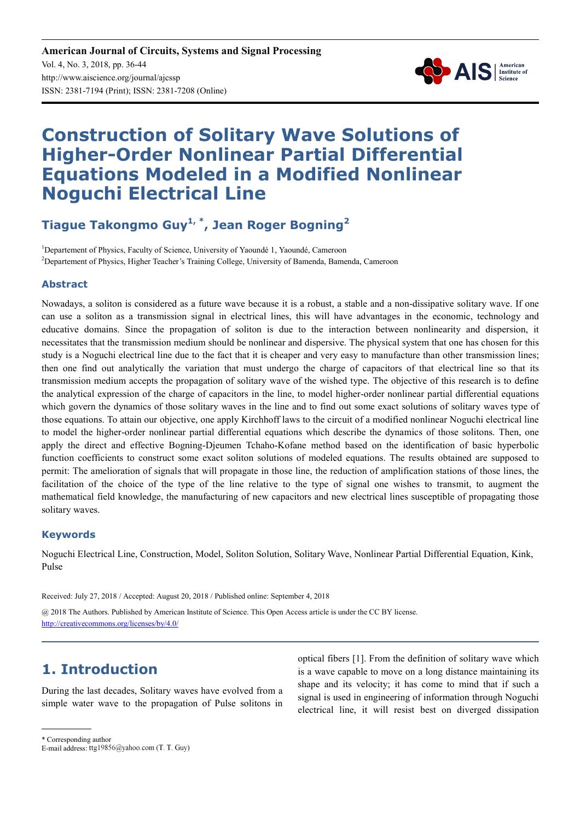

# **Construction of Solitary Wave Solutions of Higher-Order Nonlinear Partial Differential Equations Modeled in a Modified Nonlinear Noguchi Electrical Line**

**Tiague Takongmo Guy1, \*, Jean Roger Bogning<sup>2</sup>**

<sup>1</sup>Departement of Physics, Faculty of Science, University of Yaoundé 1, Yaoundé, Cameroon <sup>2</sup>Departement of Physics, Higher Teacher's Training College, University of Bamenda, Bamenda, Cameroon

#### **Abstract**

Nowadays, a soliton is considered as a future wave because it is a robust, a stable and a non-dissipative solitary wave. If one can use a soliton as a transmission signal in electrical lines, this will have advantages in the economic, technology and educative domains. Since the propagation of soliton is due to the interaction between nonlinearity and dispersion, it necessitates that the transmission medium should be nonlinear and dispersive. The physical system that one has chosen for this study is a Noguchi electrical line due to the fact that it is cheaper and very easy to manufacture than other transmission lines; then one find out analytically the variation that must undergo the charge of capacitors of that electrical line so that its transmission medium accepts the propagation of solitary wave of the wished type. The objective of this research is to define the analytical expression of the charge of capacitors in the line, to model higher-order nonlinear partial differential equations which govern the dynamics of those solitary waves in the line and to find out some exact solutions of solitary waves type of those equations. To attain our objective, one apply Kirchhoff laws to the circuit of a modified nonlinear Noguchi electrical line to model the higher-order nonlinear partial differential equations which describe the dynamics of those solitons. Then, one apply the direct and effective Bogning-Djeumen Tchaho-Kofane method based on the identification of basic hyperbolic function coefficients to construct some exact soliton solutions of modeled equations. The results obtained are supposed to permit: The amelioration of signals that will propagate in those line, the reduction of amplification stations of those lines, the facilitation of the choice of the type of the line relative to the type of signal one wishes to transmit, to augment the mathematical field knowledge, the manufacturing of new capacitors and new electrical lines susceptible of propagating those solitary waves.

#### **Keywords**

Noguchi Electrical Line, Construction, Model, Soliton Solution, Solitary Wave, Nonlinear Partial Differential Equation, Kink, Pulse

Received: July 27, 2018 / Accepted: August 20, 2018 / Published online: September 4, 2018

@ 2018 The Authors. Published by American Institute of Science. This Open Access article is under the CC BY license. http://creativecommons.org/licenses/by/4.0/

# **1. Introduction**

During the last decades, Solitary waves have evolved from a simple water wave to the propagation of Pulse solitons in optical fibers [1]. From the definition of solitary wave which is a wave capable to move on a long distance maintaining its shape and its velocity; it has come to mind that if such a signal is used in engineering of information through Noguchi electrical line, it will resist best on diverged dissipation

\* Corresponding author

E-mail address: ttg19856@yahoo.com (T. T. Guy)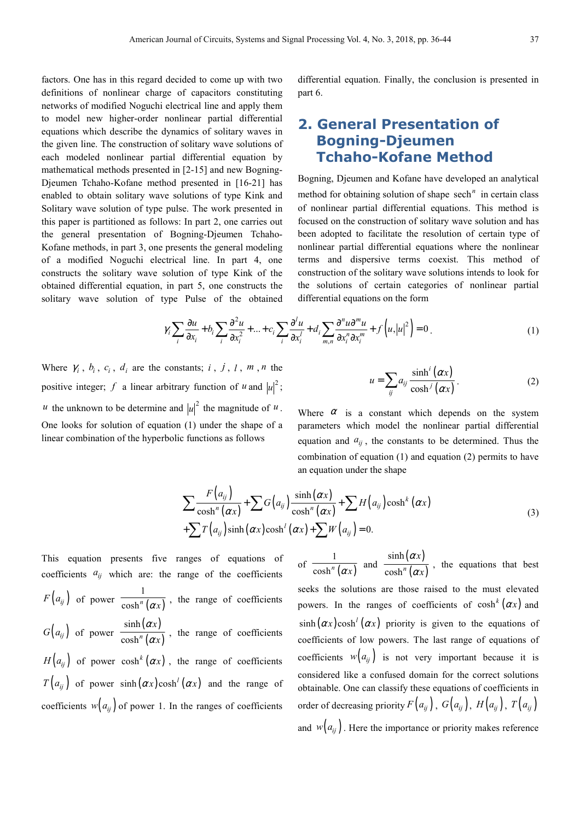factors. One has in this regard decided to come up with two definitions of nonlinear charge of capacitors constituting networks of modified Noguchi electrical line and apply them to model new higher-order nonlinear partial differential equations which describe the dynamics of solitary waves in the given line. The construction of solitary wave solutions of each modeled nonlinear partial differential equation by mathematical methods presented in [2-15] and new Bogning-Djeumen Tchaho-Kofane method presented in [16-21] has enabled to obtain solitary wave solutions of type Kink and Solitary wave solution of type pulse. The work presented in this paper is partitioned as follows: In part 2, one carries out the general presentation of Bogning-Djeumen Tchaho-Kofane methods, in part 3, one presents the general modeling of a modified Noguchi electrical line. In part 4, one constructs the solitary wave solution of type Kink of the obtained differential equation, in part 5, one constructs the solitary wave solution of type Pulse of the obtained

differential equation. Finally, the conclusion is presented in part 6.

## **2. General Presentation of Bogning-Djeumen Tchaho-Kofane Method**

Bogning, Djeumen and Kofane have developed an analytical method for obtaining solution of shape sech<sup>n</sup> in certain class of nonlinear partial differential equations. This method is focused on the construction of solitary wave solution and has been adopted to facilitate the resolution of certain type of nonlinear partial differential equations where the nonlinear terms and dispersive terms coexist. This method of construction of the solitary wave solutions intends to look for the solutions of certain categories of nonlinear partial differential equations on the form

$$
\gamma_i \sum_i \frac{\partial u}{\partial x_i} + b_i \sum_i \frac{\partial^2 u}{\partial x_i^2} + \dots + c_i \sum_i \frac{\partial^i u}{\partial x_i^i} + d_i \sum_{m,n} \frac{\partial^n u \partial^m u}{\partial x_i^n \partial x_i^m} + f\left(u, |u|^2\right) = 0.
$$
\n(1)

Where  $\gamma_i$ ,  $b_i$ ,  $c_i$ ,  $d_i$  are the constants; *i*, *j*, *l*, *m*, *n* the positive integer; f a linear arbitrary function of  $u$  and  $|u|^2$ ; *u* the unknown to be determine and  $|u|^2$  the magnitude of *u*. One looks for solution of equation (1) under the shape of a linear combination of the hyperbolic functions as follows

 $(\alpha x)$  $(\alpha x)$ sinh cosh *i*  $\sum_{ij} a_{ij} \overline{\cosh^j}$  $u = \sum a_{ii} \frac{\sinh^i(\alpha x)}{i}$ *x* α  $=\sum_{u} a_{ij} \frac{\sinh'(\alpha x)}{\cosh^j(\alpha x)}$  (2)

Where  $\alpha$  is a constant which depends on the system parameters which model the nonlinear partial differential equation and  $a_{ij}$ , the constants to be determined. Thus the combination of equation (1) and equation (2) permits to have an equation under the shape

$$
\sum \frac{F(a_{ij})}{\cosh^{n}(\alpha x)} + \sum G(a_{ij}) \frac{\sinh(\alpha x)}{\cosh^{n}(\alpha x)} + \sum H(a_{ij}) \cosh^{k}(\alpha x) + \sum T(a_{ij}) \sinh(\alpha x) \cosh^{l}(\alpha x) + \sum W(a_{ij}) = 0.
$$
\n(3)

This equation presents five ranges of equations of coefficients  $a_{ij}$  which are: the range of the coefficients  $F(a_{ij})$  of power  $\frac{1}{\cosh^n(\alpha x)}$  $\frac{\cosh^n(ax)}{\cosh^n(ax)}$ , the range of coefficients  $G(a_{ij})$  of power  $\frac{\sinh(\alpha x)}{\cosh^n(\alpha x)}$  $(\alpha x)$ sinh cosh*<sup>n</sup> x x* α  $\frac{\gamma}{\alpha x}$ , the range of coefficients  $H(a_{ij})$  of power cosh<sup>k</sup>  $(\alpha x)$ , the range of coefficients  $T(a_{ij})$  of power sinh  $(\alpha x)$ cosh<sup>*l*</sup>  $(\alpha x)$  and the range of coefficients  $w(a_{ij})$  of power 1. In the ranges of coefficients

of  $\overline{\cosh^n(\alpha x)}$ 1  $\overline{\cosh^n(\alpha x)}$  and  $(\alpha x)$  $(\alpha x)$ sinh cosh*<sup>n</sup> x x* α  $\frac{1}{\alpha x}$ , the equations that best seeks the solutions are those raised to the must elevated powers. In the ranges of coefficients of  $cosh<sup>k</sup>(\alpha x)$  and  $\sinh(\alpha x) \cosh^l(\alpha x)$  priority is given to the equations of coefficients of low powers. The last range of equations of coefficients  $w(a_{ij})$  is not very important because it is considered like a confused domain for the correct solutions obtainable. One can classify these equations of coefficients in order of decreasing priority  $F(a_{ij})$ ,  $G(a_{ij})$ ,  $H(a_{ij})$ ,  $T(a_{ij})$ and  $w(a_{ij})$ . Here the importance or priority makes reference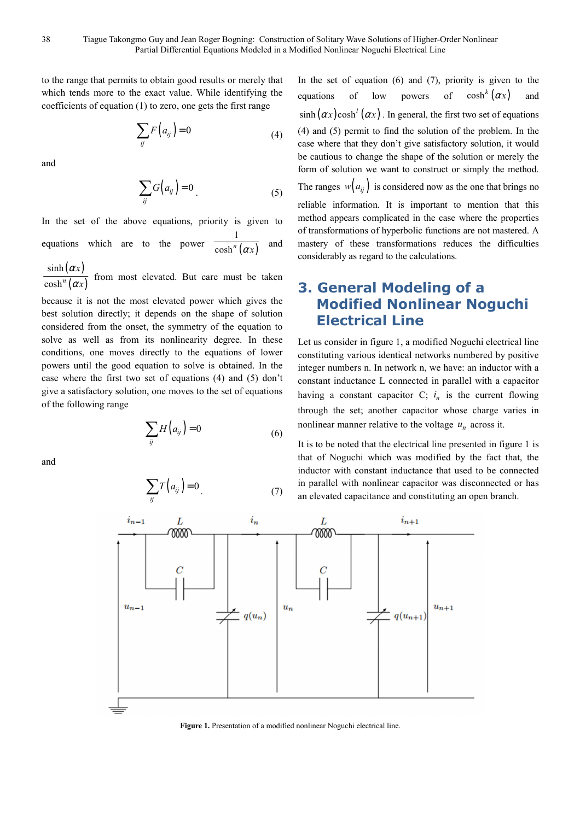to the range that permits to obtain good results or merely that which tends more to the exact value. While identifying the coefficients of equation (1) to zero, one gets the first range

$$
\sum_{ij} F\left(a_{ij}\right) = 0\tag{4}
$$

and

$$
\sum_{ij} G\Big(a_{ij}\Big) = 0\tag{5}
$$

In the set of the above equations, priority is given to equations which are to the power  $\overline{\cosh^n(\alpha x)}$ 1  $\cosh^n(\alpha x)$ and

 $(\alpha x)$  $(\alpha x)$ sinh cosh*<sup>n</sup> x x* α  $\frac{a}{\alpha x}$  from most elevated. But care must be taken

because it is not the most elevated power which gives the best solution directly; it depends on the shape of solution considered from the onset, the symmetry of the equation to solve as well as from its nonlinearity degree. In these conditions, one moves directly to the equations of lower powers until the good equation to solve is obtained. In the case where the first two set of equations (4) and (5) don't give a satisfactory solution, one moves to the set of equations of the following range

$$
\sum_{ij} H\big(a_{ij}\big) = 0\tag{6}
$$

and

$$
\sum_{ij} T\left(a_{ij}\right) = 0\tag{7}
$$

In the set of equation  $(6)$  and  $(7)$ , priority is given to the equations of low powers of  $\cosh^k (\alpha x)$  and  $\sinh (\alpha x) \cosh^l (\alpha x)$ . In general, the first two set of equations (4) and (5) permit to find the solution of the problem. In the case where that they don't give satisfactory solution, it would be cautious to change the shape of the solution or merely the form of solution we want to construct or simply the method. The ranges  $w(a_{ii})$  is considered now as the one that brings no reliable information. It is important to mention that this method appears complicated in the case where the properties of transformations of hyperbolic functions are not mastered. A mastery of these transformations reduces the difficulties considerably as regard to the calculations.

# **3. General Modeling of a Modified Nonlinear Noguchi Electrical Line**

Let us consider in figure 1, a modified Noguchi electrical line constituting various identical networks numbered by positive integer numbers n. In network n, we have: an inductor with a constant inductance L connected in parallel with a capacitor having a constant capacitor  $C$ ;  $i_n$  is the current flowing through the set; another capacitor whose charge varies in nonlinear manner relative to the voltage  $u_n$  across it.

It is to be noted that the electrical line presented in figure 1 is that of Noguchi which was modified by the fact that, the inductor with constant inductance that used to be connected in parallel with nonlinear capacitor was disconnected or has an elevated capacitance and constituting an open branch.



**Figure 1.** Presentation of a modified nonlinear Noguchi electrical line.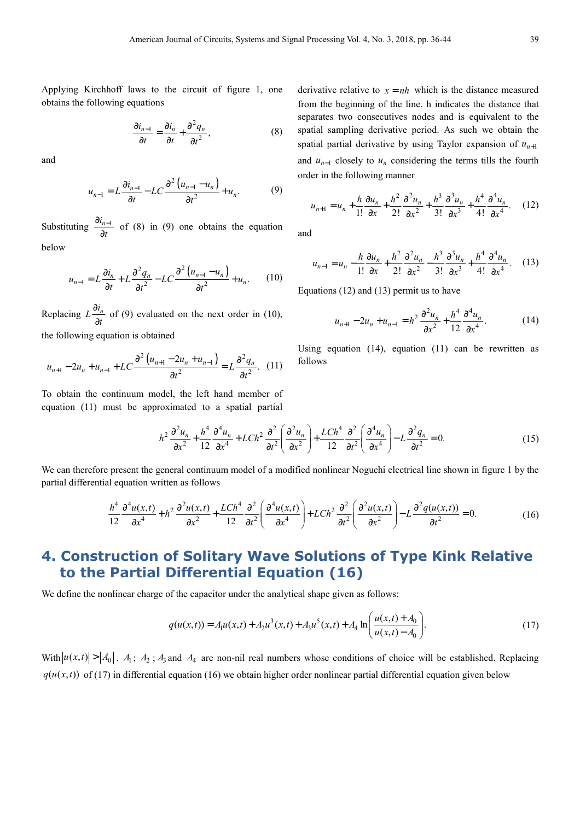Applying Kirchhoff laws to the circuit of figure 1, one obtains the following equations

$$
\frac{\partial i_{n-1}}{\partial t} = \frac{\partial i_n}{\partial t} + \frac{\partial^2 q_n}{\partial t^2},
$$
 (8)

and

$$
u_{n-1} = L \frac{\partial i_{n-1}}{\partial t} - LC \frac{\partial^2 (u_{n-1} - u_n)}{\partial t^2} + u_n.
$$
 (9)

Substituting  $\frac{\partial i_{n-1}}{\partial x}$ *t*  $\partial i_{n-}$  $rac{7n-1}{\partial t}$  of (8) in (9) one obtains the equation

below

$$
u_{n-1} = L\frac{\partial i_n}{\partial t} + L\frac{\partial^2 q_n}{\partial t^2} - LC\frac{\partial^2 (u_{n-1} - u_n)}{\partial t^2} + u_n.
$$
 (10)

Replacing  $L \frac{\partial i_n}{\partial t}$ ∂  $\frac{\partial n}{\partial t}$  of (9) evaluated on the next order in (10), the following equation is obtained

$$
u_{n+1} - 2u_n + u_{n-1} + LC \frac{\partial^2 (u_{n+1} - 2u_n + u_{n-1})}{\partial t^2} = L \frac{\partial^2 q_n}{\partial t^2}.
$$
 (11)

To obtain the continuum model, the left hand member of equation (11) must be approximated to a spatial partial

> $h^2 \frac{\partial^2 u_n}{\partial x^2} + \frac{h^4}{12} \frac{\partial^4 u_n}{\partial x^4} + L Ch^2 \frac{\partial^2}{\partial t^2} \left( \frac{\partial^2 u_n}{\partial x^2} \right) + \frac{LCh^4}{12} \frac{\partial^2}{\partial t^2} \left( \frac{\partial^4 u_n}{\partial x^4} \right) - L \frac{\partial^2 q_n}{\partial t^2} = 0.$  $x^2$  12  $\partial x^4$   $\partial t^2$   $\partial x^2$  *f* 12  $\partial t^2$   $\partial x^4$  *f*  $\partial t^2$  $\frac{\partial^2 u_n}{\partial t^2} + \frac{h^4}{4} \frac{\partial^4 u_n}{\partial t^4} + L Ch^2 \frac{\partial^2}{\partial t^2} \left( \frac{\partial^2 u_n}{\partial t^2} \right) + \frac{L Ch^4}{4} \frac{\partial^2}{\partial t^2} \left( \frac{\partial^4 u_n}{\partial t^4} \right) - L \frac{\partial^2 q_n}{\partial t^2} =$  $\partial x^2$  12  $\partial x^4$   $\partial t^2 \left( \partial x^2 \right)$  12  $\partial t^2 \left( \partial x^4 \right)$   $\partial$ (15)

We can therefore present the general continuum model of a modified nonlinear Noguchi electrical line shown in figure 1 by the partial differential equation written as follows

$$
\frac{h^4}{12} \frac{\partial^4 u(x,t)}{\partial x^4} + h^2 \frac{\partial^2 u(x,t)}{\partial x^2} + \frac{LCh^4}{12} \frac{\partial^2}{\partial t^2} \left( \frac{\partial^4 u(x,t)}{\partial x^4} \right) + LCh^2 \frac{\partial^2}{\partial t^2} \left( \frac{\partial^2 u(x,t)}{\partial x^2} \right) - L \frac{\partial^2 q(u(x,t))}{\partial t^2} = 0.
$$
 (16)

### **4. Construction of Solitary Wave Solutions of Type Kink Relative to the Partial Differential Equation (16)**

We define the nonlinear charge of the capacitor under the analytical shape given as follows:

$$
q(u(x,t)) = A_1 u(x,t) + A_2 u^3(x,t) + A_3 u^5(x,t) + A_4 \ln\left(\frac{u(x,t) + A_0}{u(x,t) - A_0}\right).
$$
 (17)

With  $|u(x,t)| > |A_0|$ .  $A_1$ ;  $A_2$ ;  $A_3$  and  $A_4$  are non-nil real numbers whose conditions of choice will be established. Replacing  $q(u(x,t))$  of (17) in differential equation (16) we obtain higher order nonlinear partial differential equation given below

derivative relative to  $x = nh$  which is the distance measured from the beginning of the line. h indicates the distance that separates two consecutives nodes and is equivalent to the spatial sampling derivative period. As such we obtain the spatial partial derivative by using Taylor expansion of  $u_{n+1}$ and  $u_{n-1}$  closely to  $u_n$  considering the terms tills the fourth order in the following manner

$$
u_{n+1} = u_n + \frac{h}{1!} \frac{\partial u_n}{\partial x} + \frac{h^2}{2!} \frac{\partial^2 u_n}{\partial x^2} + \frac{h^3}{3!} \frac{\partial^3 u_n}{\partial x^3} + \frac{h^4}{4!} \frac{\partial^4 u_n}{\partial x^4}.
$$
 (12)

and

$$
u_{n-1} = u_n - \frac{h}{1!} \frac{\partial u_n}{\partial x} + \frac{h^2}{2!} \frac{\partial^2 u_n}{\partial x^2} - \frac{h^3}{3!} \frac{\partial^3 u_n}{\partial x^3} + \frac{h^4}{4!} \frac{\partial^4 u_n}{\partial x^4}.
$$
 (13)

Equations (12) and (13) permit us to have

$$
u_{n+1} - 2u_n + u_{n-1} = h^2 \frac{\partial^2 u_n}{\partial x^2} + \frac{h^4}{12} \frac{\partial^4 u_n}{\partial x^4}.
$$
 (14)

Using equation  $(14)$ , equation  $(11)$  can be rewritten as follows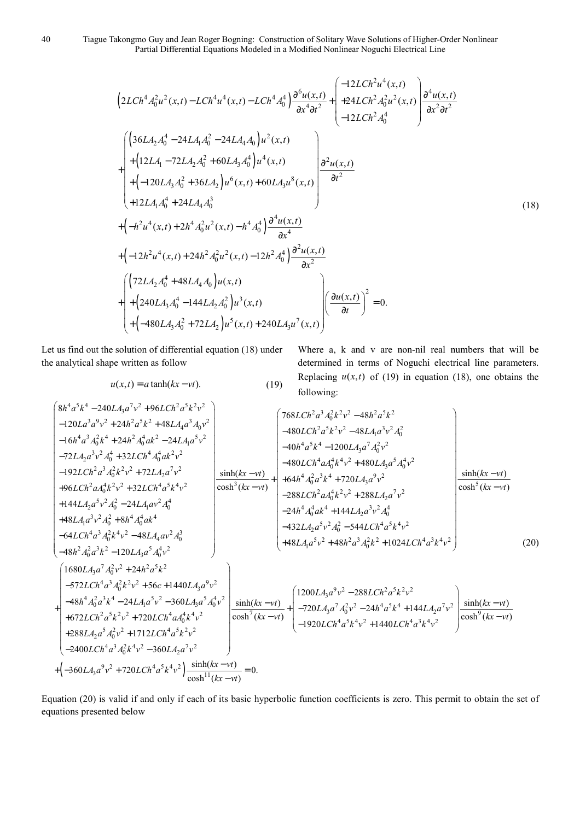40 Tiague Takongmo Guy and Jean Roger Bogning: Construction of Solitary Wave Solutions of Higher-Order Nonlinear Partial Differential Equations Modeled in a Modified Nonlinear Noguchi Electrical Line

$$
\left(2LCh^{4}A_{0}^{2}u^{2}(x,t)-LCh^{4}u^{4}(x,t)-LCh^{4}A_{0}^{4}\right)\frac{\partial^{6}u(x,t)}{\partial x^{4}\partial t^{2}}+\left(\begin{array}{l} -12LCh^{2}u^{4}(x,t) \\ +24LCh^{2}A_{0}^{2}u^{2}(x,t) \\ -12LCh^{2}A_{0}^{4}\end{array}\right)\frac{\partial^{4}u(x,t)}{\partial x^{2}\partial t^{2}}\right)
$$
\n
$$
\times\left(\begin{array}{l}\n36LA_{2}A_{0}^{4}-24LA_{1}A_{0}^{2}-24LA_{4}A_{0}\right)u^{2}(x,t) \\
+(12LA_{1}-72LA_{2}A_{0}^{2}+60LA_{3}A_{0}^{4}\right)u^{4}(x,t) \\
+(12LA_{1}-72LA_{2}A_{0}^{2}+60LA_{3}A_{0}^{4}\right)u^{4}(x,t) \\
+(12LA_{3}A_{0}^{2}+36LA_{2}\right)u^{6}(x,t)+60LA_{3}u^{8}(x,t) \\
+12LA_{1}A_{0}^{4}+24LA_{4}A_{0}^{3}\n\end{array}\right)
$$
\n
$$
+(12IA_{1}A_{0}^{4}+24LA_{4}A_{0}^{3})\frac{\partial^{4}u(x,t)}{\partial x^{4}}\left(\begin{array}{l}\n18\n\end{array}\right)
$$
\n
$$
+(12IA_{2}A_{0}^{4}+48LA_{4}A_{0}\right)u(x,t) +\left(\begin{array}{l}\n(72LA_{2}A_{0}^{4}+48LA_{4}A_{0}\right)u(x,t) \\
+(24OLA_{3}A_{0}^{4}-144LA_{2}A_{0}^{2}\right)u^{3}(x,t) \\
+(480LA_{3}A_{0}^{2}+72LA_{2}\right)u^{5}(x,t)+240LA_{3}u^{7}(x,t)\n\end{array}\right)^{2}=0.
$$
\n(4)

Let us find out the solution of differential equation (18) under the analytical shape written as follow

 $u(x,t) = a \tanh(kx - vt).$  (19)

Where a, k and v are non-nil real numbers that will be determined in terms of Noguchi electrical line parameters. Replacing  $u(x,t)$  of (19) in equation (18), one obtains the following:

$$
\begin{bmatrix}\n8h^{4}a^{5}k^{4} - 240LA_{3}a^{7}v^{2} + 96LCh^{2}a^{5}k^{2}v^{2} \\
-120La^{3}a^{9}v^{2} + 24h^{2}a^{5}k^{2} + 48LA_{4}a^{3}A_{0}v^{2} \\
-16h^{4}a^{3}A_{0}^{2}k^{4} + 24h^{2}A_{0}^{4}ak^{2} - 24LA_{4}a^{5}v^{2} \\
-72LA_{2}a^{3}v^{2}A_{0}^{4} + 32LCh^{4}A_{0}^{4}ak^{2}v^{2} \\
-192LCh^{2}a^{3}A_{0}^{2}k^{2}v^{2} + 72LA_{2}a^{7}v^{2} \\
+96LCh^{2}aA_{0}^{4}k^{2}v^{2} + 32LCh^{4}a^{5}k^{4}v^{2} \\
+48LA_{4}a^{3}v^{2}A_{0}^{2} + 24LA_{4}a^{3}k^{4}v^{2} \\
+48LA_{4}a^{3}v^{2}A_{0}^{2} + 24LA_{4}a^{3}k^{4}v^{2} \\
+48LA_{4}a^{3}v^{2}A_{0}^{2} + 24LA_{4}a^{3}k^{4}v^{2} \\
+48LA_{4}a^{3}v^{2}A_{0}^{2} + 24LA_{4}a^{3}k^{4}v^{2} \\
+48LA_{4}a^{3}v^{2}A_{0}^{2} + 8h^{4}A_{0}^{4}d^{4} \\
-64LCh^{4}a^{3}A_{0}^{2}k^{2}v^{2} + 288LA_{2}a^{7}v^{2} \\
+48LA_{4}a^{3}v^{2}A_{0}^{2} + 24LA_{4}a^{3}v^{2} \\
+48LA_{4}a^{3}v^{2}A_{0}^{2} + 8h^{4}A_{0}^{4}d^{4}v^{2} \\
-48h^{4}A_{0}^{4}ak^{4} + 144LA_{2}a^{3}v^{2}A_{0}^{4} \\
-48h^{4}A_{0}^{4}a^{3}k^{2}v^{2} - 120LA_{3}a^{5}A_{0}^{4}v^{2} \\
+48LA_{4}a^{5}v^{2} +
$$

Equation (20) is valid if and only if each of its basic hyperbolic function coefficients is zero. This permit to obtain the set of equations presented below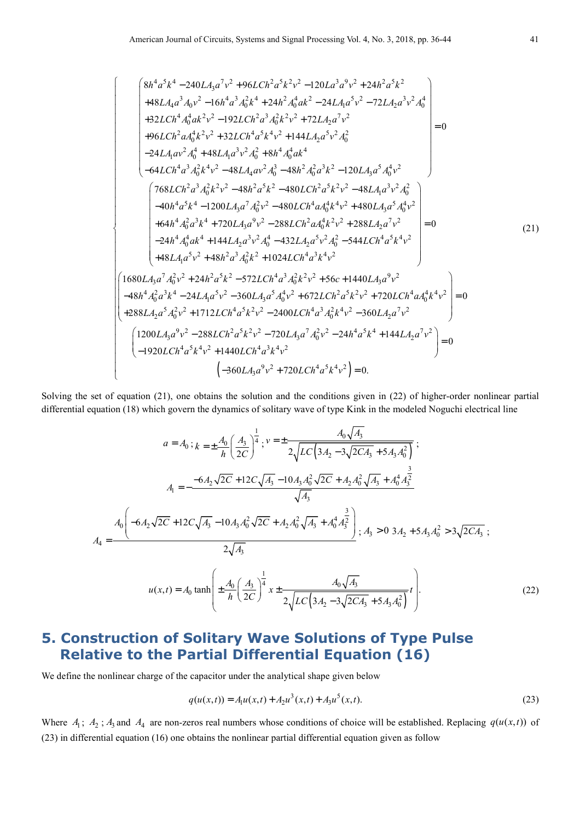$\int$  $\overline{a}$  $\overline{a}$  $\overline{a}$  $\overline{ }$  $\overline{a}$  $\overline{ }$  $\overline{a}$  $\overline{a}$  $\overline{a}$  $\overline{ }$  $\overline{a}$  $\overline{ }$  $\overline{a}$  $\overline{a}$  $\overline{ }$ ∤  $\overline{a}$  $\overline{a}$  $\overline{a}$  $\overline{ }$  $\overline{a}$  $\overline{a}$  $\overline{ }$  $\overline{a}$  $\overline{ }$  $\overline{a}$ 

 $\overline{a}$ 

$$
\begin{bmatrix}\n8h^4a^5k^4 - 240LA_3a^7v^2 + 96LCh^2a^5k^2v^2 - 120La^3a^9v^2 + 24h^2a^5k^2 \\
+48LA_4a^3A_0v^2 - 16h^4a^3A_0^2k^4 + 24h^2A_0^4ak^2 - 24LA_1a^5v^2 - 72LA_2a^3v^2A_0^4 \\
+32LCh^4A_0^4ak^2v^2 - 192LCh^2a^3A_0^2k^2v^2 + 72LA_2a^7v^2 \\
+96LCh^2aA_0^4k^2v^2 + 32LCh^4a^5k^4v^2 + 144LA_2a^5v^2A_0^2 \\
-24LA_1av^2A_0^4 + 48LA_1a^3v^2A_0^2 + 8h^4A_0^4ak^4 \\
-64LCh^4a^3A_0^2k^4v^2 - 48h^2a^5k^2 - 480LCh^2a^3k^2v^2 - 48LA_1a^3v^2A_0^2 \\
-40h^4a^5k^4 - 1200LA_3a^7A_0^2v^2 - 480LCh^4aA_0^4k^4v^2 + 480LA_3a^5A_0^4v^2 \\
+64h^4A_0^2a^3k^4 + 720LA_3a^9v^2 - 288LCh^2aA_0^4k^2v^2 + 288LA_2a^7v^2 \\
+64h^4A_0^2a^3k^4 + 720LA_3a^9v^2 - 288LCh^2aA_0^4k^2v^2 + 288LA_2a^7v^2 \\
+48LA_1a^5v^2 + 48h^2a^3A_0^2k^2 + 1024LCh^4a^3k^4v^2\n\end{bmatrix} = 0
$$
\n(21)  
\n224h<sup>4</sup>A\_0^4ah^4 + 144LA\_2a^3v^2A\_0^4 - 432LA\_2a^5v^2A\_0^2 - 544LCh^4a^5k^4v^2\n\end{bmatrix

Solving the set of equation (21), one obtains the solution and the conditions given in (22) of higher-order nonlinear partial differential equation (18) which govern the dynamics of solitary wave of type Kink in the modeled Noguchi electrical line

$$
a = A_0; k = \pm \frac{A_0}{h} \left(\frac{A_3}{2C}\right)^{\frac{1}{4}}; \nu = \pm \frac{A_0 \sqrt{A_3}}{2\sqrt{LC} \left(3A_2 - 3\sqrt{2CA_3} + 5A_3A_0^2\right)};
$$
  

$$
A_1 = -\frac{-6A_2\sqrt{2C} + 12C\sqrt{A_3} - 10A_3A_0^2\sqrt{2C} + A_2A_0^2\sqrt{A_3} + A_0^4A_3^{\frac{3}{2}}}{\sqrt{A_3}}
$$
  

$$
A_4 = \frac{A_0 \left(-6A_2\sqrt{2C} + 12C\sqrt{A_3} - 10A_3A_0^2\sqrt{2C} + A_2A_0^2\sqrt{A_3} + A_0^4A_3^{\frac{3}{2}}\right)}{2\sqrt{A_3}}; A_3 > 0 \ 3A_2 + 5A_3A_0^2 > 3\sqrt{2CA_3} ;
$$
  

$$
u(x,t) = A_0 \tanh\left(\pm \frac{A_0}{h} \left(\frac{A_3}{2C}\right)^{\frac{1}{4}} x \pm \frac{A_0 \sqrt{A_3}}{2\sqrt{LC} \left(3A_2 - 3\sqrt{2CA_3} + 5A_3A_0^2\right)} t\right).
$$
 (22)

# **5. Construction of Solitary Wave Solutions of Type Pulse Relative to the Partial Differential Equation (16)**

We define the nonlinear charge of the capacitor under the analytical shape given below

$$
q(u(x,t)) = A_1 u(x,t) + A_2 u^3(x,t) + A_3 u^5(x,t).
$$
\n(23)

Where  $A_1$ ;  $A_2$ ;  $A_3$  and  $A_4$  are non-zeros real numbers whose conditions of choice will be established. Replacing  $q(u(x,t))$  of (23) in differential equation (16) one obtains the nonlinear partial differential equation given as follow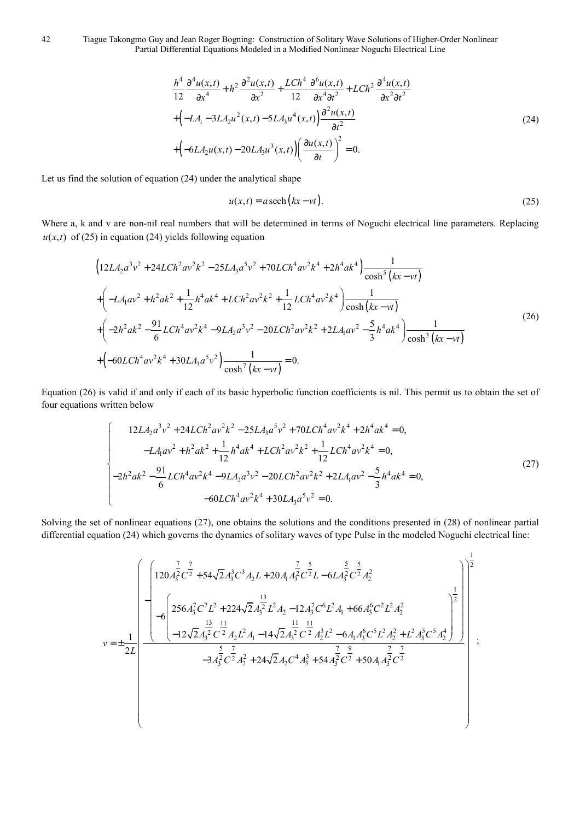42 Tiague Takongmo Guy and Jean Roger Bogning: Construction of Solitary Wave Solutions of Higher-Order Nonlinear Partial Differential Equations Modeled in a Modified Nonlinear Noguchi Electrical Line

$$
\frac{h^4}{12} \frac{\partial^4 u(x,t)}{\partial x^4} + h^2 \frac{\partial^2 u(x,t)}{\partial x^2} + \frac{L Ch^4}{12} \frac{\partial^6 u(x,t)}{\partial x^4 \partial t^2} + LCh^2 \frac{\partial^4 u(x,t)}{\partial x^2 \partial t^2} \n+ \left(-LA_1 - 3LA_2u^2(x,t) - 5LA_3u^4(x,t)\right) \frac{\partial^2 u(x,t)}{\partial t^2} \n+ \left(-6LA_2u(x,t) - 20LA_3u^3(x,t)\right) \left(\frac{\partial u(x,t)}{\partial t}\right)^2 = 0.
$$
\n(24)

Let us find the solution of equation (24) under the analytical shape

$$
u(x,t) = a \operatorname{sech}\left(kx - vt\right). \tag{25}
$$

Where a, k and v are non-nil real numbers that will be determined in terms of Noguchi electrical line parameters. Replacing  $u(x, t)$  of (25) in equation (24) yields following equation

$$
\left(12LA_{2}a^{3}v^{2} + 24LCh^{2}av^{2}k^{2} - 25LA_{3}a^{5}v^{2} + 70LCh^{4}av^{2}k^{4} + 2h^{4}ak^{4}\right)\frac{1}{\cosh^{5}(kx - vt)}
$$
  
+
$$
\left(-LA_{1}av^{2} + h^{2}ak^{2} + \frac{1}{12}h^{4}ak^{4} + LCh^{2}av^{2}k^{2} + \frac{1}{12}LCh^{4}av^{2}k^{4}\right)\frac{1}{\cosh(kx - vt)}
$$
  
+
$$
\left(-2h^{2}ak^{2} - \frac{91}{6}LCh^{4}av^{2}k^{4} - 9LA_{2}a^{3}v^{2} - 20LCh^{2}av^{2}k^{2} + 2LA_{1}av^{2} - \frac{5}{3}h^{4}ak^{4}\right)\frac{1}{\cosh^{3}(kx - vt)}
$$
  
+
$$
\left(-60LCh^{4}av^{2}k^{4} + 30LA_{3}a^{5}v^{2}\right)\frac{1}{\cosh^{7}(kx - vt)} = 0.
$$
 (26)

Equation (26) is valid if and only if each of its basic hyperbolic function coefficients is nil. This permit us to obtain the set of four equations written below

$$
\begin{cases}\n12L A_2 a^3 v^2 + 24L C h^2 a v^2 k^2 - 25L A_3 a^5 v^2 + 70L C h^4 a v^2 k^4 + 2h^4 a k^4 = 0, \\
-L A_1 a v^2 + h^2 a k^2 + \frac{1}{12} h^4 a k^4 + L C h^2 a v^2 k^2 + \frac{1}{12} L C h^4 a v^2 k^4 = 0, \\
-2h^2 a k^2 - \frac{91}{6} L C h^4 a v^2 k^4 - 9L A_2 a^3 v^2 - 20L C h^2 a v^2 k^2 + 2L A_1 a v^2 - \frac{5}{3} h^4 a k^4 = 0, \\
-60L C h^4 a v^2 k^4 + 30L A_3 a^5 v^2 = 0.\n\end{cases}
$$
\n(27)

Solving the set of nonlinear equations (27), one obtains the solutions and the conditions presented in (28) of nonlinear partial differential equation (24) which governs the dynamics of solitary waves of type Pulse in the modeled Noguchi electrical line:

$$
v = \pm \frac{1}{2L} \left( \begin{array}{ccc} \frac{7}{2} \left( 120 A_3^2 C^{\frac{7}{2}} + 54 \sqrt{2} A_3^3 C^3 A_2 L + 20 A_1 A_3^{\frac{7}{2}} C^{\frac{5}{2}} L - 6 L A_3^{\frac{5}{2}} C^{\frac{5}{2}} A_2^2 \right) & 0 & 0 \\ -6 \left( 256 A_3^7 C^7 L^2 + 224 \sqrt{2} A_3^{\frac{13}{2}} L^2 A_2 - 12 A_3^7 C^6 L^2 A_1 + 66 A_3^6 C^2 L^2 A_2^2 \right) & 0 & 0 \\ -12 \sqrt{2} A_3^{\frac{13}{2}} C^{\frac{11}{2}} A_2 L^2 A_1 - 14 \sqrt{2} A_3^{\frac{11}{2}} C^{\frac{11}{2}} A_2^3 L^2 - 6 A_1 A_3^6 C^5 L^2 A_2^2 + L^2 A_3^5 C^5 A_2^4 \right) & 0 & 0 \\ -3 A_3^{\frac{5}{2}} C^{\frac{7}{2}} A_2^2 + 24 \sqrt{2} A_2 C^4 A_3^3 + 54 A_3^{\frac{7}{2}} C^{\frac{7}{2}} + 50 A_1 A_3^{\frac{7}{2}} C^{\frac{7}{2}} \end{array} \right) ;
$$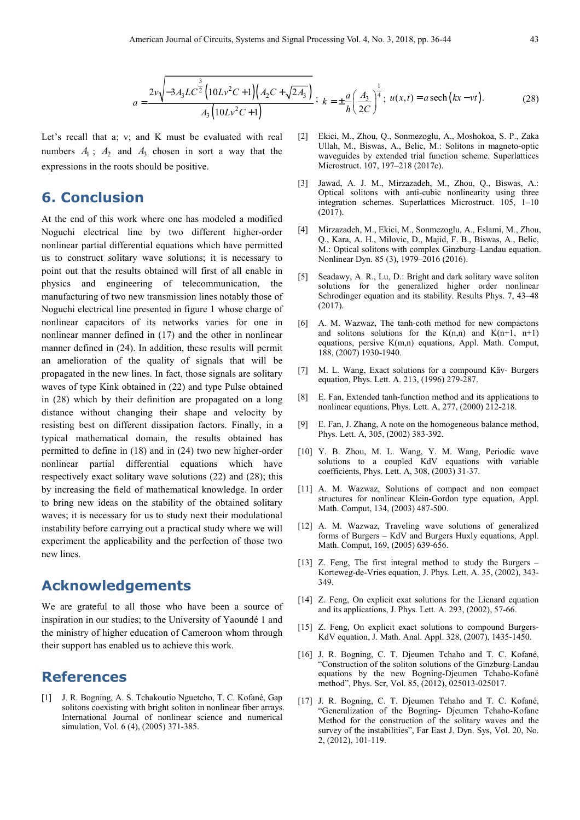$$
a = \frac{2v\sqrt{-3A_3LC^2}\left(10Lv^2C+1\right)\left(A_2C+\sqrt{2A_3}\right)}{A_3\left(10Lv^2C+1\right)}; \ k = \pm \frac{a}{h}\left(\frac{A_3}{2C}\right)^{\frac{1}{4}}; \ u(x,t) = a \operatorname{sech}\left(kx-vt\right). \tag{28}
$$

Let's recall that a; v; and K must be evaluated with real numbers  $A_1$ ;  $A_2$  and  $A_3$  chosen in sort a way that the expressions in the roots should be positive.

#### **6. Conclusion**

At the end of this work where one has modeled a modified Noguchi electrical line by two different higher-order nonlinear partial differential equations which have permitted us to construct solitary wave solutions; it is necessary to point out that the results obtained will first of all enable in physics and engineering of telecommunication, manufacturing of two new transmission lines notably those of Noguchi electrical line presented in figure 1 whose charge of nonlinear capacitors of its networks varies for one in nonlinear manner defined in (17) and the other in nonlinear manner defined in (24). In addition, these results will permit an amelioration of the quality of signals that will be propagated in the new lines. In fact, those signals are solitary waves of type Kink obtained in (22) and type Pulse obtained in (28) which by their definition are propagated on a long distance without changing their shape and velocity by resisting best on different dissipation factors. Finally, in a typical mathematical domain, the results obtained has permitted to define in (18) and in (24) two new higher-order nonlinear partial differential equations which have respectively exact solitary wave solutions (22) and (28); this by increasing the field of mathematical knowledge. In order to bring new ideas on the stability of the obtained solitary waves; it is necessary for us to study next their modulational instability before carrying out a practical study where we will experiment the applicability and the perfection of those two new lines.

#### **Acknowledgements**

We are grateful to all those who have been a source of inspiration in our studies; to the University of Yaoundé 1 and the ministry of higher education of Cameroon whom through their support has enabled us to achieve this work.

#### **References**

[1] J. R. Bogning, A. S. Tchakoutio Nguetcho, T. C. Kofané, Gap solitons coexisting with bright soliton in nonlinear fiber arrays. International Journal of nonlinear science and numerical simulation, Vol. 6 (4), (2005) 371-385.

- [2] Ekici, M., Zhou, Q., Sonmezoglu, A., Moshokoa, S. P., Zaka Ullah, M., Biswas, A., Belic, M.: Solitons in magneto-optic waveguides by extended trial function scheme. Superlattices Microstruct. 107, 197–218 (2017c).
- [3] Jawad, A. J. M., Mirzazadeh, M., Zhou, Q., Biswas, A.: Optical solitons with anti-cubic nonlinearity using three integration schemes. Superlattices Microstruct. 105, 1–10 (2017).
- [4] Mirzazadeh, M., Ekici, M., Sonmezoglu, A., Eslami, M., Zhou, Q., Kara, A. H., Milovic, D., Majid, F. B., Biswas, A., Belic, M.: Optical solitons with complex Ginzburg–Landau equation. Nonlinear Dyn. 85 (3), 1979–2016 (2016).
- [5] Seadawy, A. R., Lu, D.: Bright and dark solitary wave soliton solutions for the generalized higher order nonlinear Schrodinger equation and its stability. Results Phys. 7, 43–48 (2017).
- [6] A. M. Wazwaz, The tanh-coth method for new compactons and solitons solutions for the  $K(n,n)$  and  $K(n+1, n+1)$ equations, persive K(m,n) equations, Appl. Math. Comput, 188, (2007) 1930-1940.
- [7] M. L. Wang, Exact solutions for a compound Käv- Burgers equation, Phys. Lett. A. 213, (1996) 279-287.
- [8] E. Fan, Extended tanh-function method and its applications to nonlinear equations, Phys. Lett. A, 277, (2000) 212-218.
- [9] E. Fan, J. Zhang, A note on the homogeneous balance method, Phys. Lett. A, 305, (2002) 383-392.
- [10] Y. B. Zhou, M. L. Wang, Y. M. Wang, Periodic wave solutions to a coupled KdV equations with variable coefficients, Phys. Lett. A, 308, (2003) 31-37.
- [11] A. M. Wazwaz, Solutions of compact and non compact structures for nonlinear Klein-Gordon type equation, Appl. Math. Comput, 134, (2003) 487-500.
- [12] A. M. Wazwaz, Traveling wave solutions of generalized forms of Burgers – KdV and Burgers Huxly equations, Appl. Math. Comput, 169, (2005) 639-656.
- [13] Z. Feng, The first integral method to study the Burgers Korteweg-de-Vries equation, J. Phys. Lett. A. 35, (2002), 343- 349.
- [14] Z. Feng, On explicit exat solutions for the Lienard equation and its applications, J. Phys. Lett. A. 293, (2002), 57-66.
- [15] Z. Feng, On explicit exact solutions to compound Burgers-KdV equation, J. Math. Anal. Appl. 328, (2007), 1435-1450.
- [16] J. R. Bogning, C. T. Djeumen Tchaho and T. C. Kofané, "Construction of the soliton solutions of the Ginzburg-Landau equations by the new Bogning-Djeumen Tchaho-Kofané method", Phys. Scr, Vol. 85, (2012), 025013-025017.
- [17] J. R. Bogning, C. T. Djeumen Tchaho and T. C. Kofané, "Generalization of the Bogning- Djeumen Tchaho-Kofane Method for the construction of the solitary waves and the survey of the instabilities", Far East J. Dyn. Sys, Vol. 20, No. 2, (2012), 101-119.